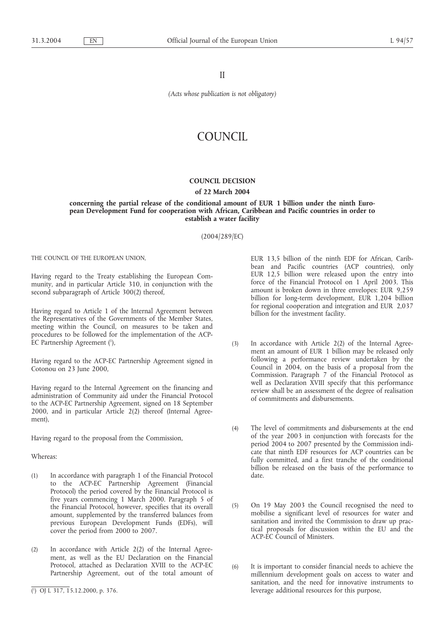II

*(Acts whose publication is not obligatory)*

# COUNCIL

# **COUNCIL DECISION**

## **of 22 March 2004**

**concerning the partial release of the conditional amount of EUR 1 billion under the ninth European Development Fund for cooperation with African, Caribbean and Pacific countries in order to establish a water facility**

(2004/289/EC)

THE COUNCIL OF THE EUROPEAN UNION,

Having regard to the Treaty establishing the European Community, and in particular Article 310, in conjunction with the second subparagraph of Article 300(2) thereof,

Having regard to Article 1 of the Internal Agreement between the Representatives of the Governments of the Member States, meeting within the Council, on measures to be taken and procedures to be followed for the implementation of the ACP-EC Partnership Agreement (1),

Having regard to the ACP-EC Partnership Agreement signed in Cotonou on 23 June 2000,

Having regard to the Internal Agreement on the financing and administration of Community aid under the Financial Protocol to the ACP-EC Partnership Agreement, signed on 18 September 2000, and in particular Article 2(2) thereof (Internal Agreement),

Having regard to the proposal from the Commission,

## Whereas:

- (1) In accordance with paragraph 1 of the Financial Protocol to the ACP-EC Partnership Agreement (Financial Protocol) the period covered by the Financial Protocol is five years commencing 1 March 2000. Paragraph 5 of the Financial Protocol, however, specifies that its overall amount, supplemented by the transferred balances from previous European Development Funds (EDFs), will cover the period from 2000 to 2007.
- (2) In accordance with Article 2(2) of the Internal Agreement, as well as the EU Declaration on the Financial Protocol, attached as Declaration XVIII to the ACP-EC Partnership Agreement, out of the total amount of

EUR 13,5 billion of the ninth EDF for African, Caribbean and Pacific countries (ACP countries), only EUR 12,5 billion were released upon the entry into force of the Financial Protocol on 1 April 2003. This amount is broken down in three envelopes: EUR 9,259 billion for long-term development, EUR 1,204 billion for regional cooperation and integration and EUR 2,037 billion for the investment facility.

- (3) In accordance with Article 2(2) of the Internal Agreement an amount of EUR 1 billion may be released only following a performance review undertaken by the Council in 2004, on the basis of a proposal from the Commission. Paragraph 7 of the Financial Protocol as well as Declaration XVIII specify that this performance review shall be an assessment of the degree of realisation of commitments and disbursements.
- (4) The level of commitments and disbursements at the end of the year 2003 in conjunction with forecasts for the period 2004 to 2007 presented by the Commission indicate that ninth EDF resources for ACP countries can be fully committed, and a first tranche of the conditional billion be released on the basis of the performance to date.
- (5) On 19 May 2003 the Council recognised the need to mobilise a significant level of resources for water and sanitation and invited the Commission to draw up practical proposals for discussion within the EU and the ACP-EC Council of Ministers.
- (6) It is important to consider financial needs to achieve the millennium development goals on access to water and sanitation, and the need for innovative instruments to leverage additional resources for this purpose,